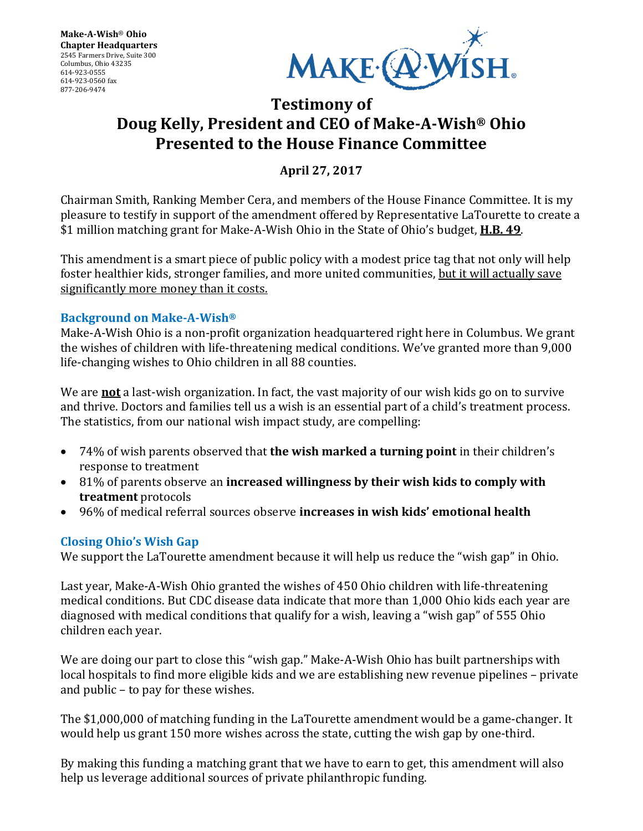

# **Testimony of Doug Kelly, President and CEO of Make-A-Wish® Ohio Presented to the House Finance Committee**

**April 27, 2017**

Chairman Smith, Ranking Member Cera, and members of the House Finance Committee. It is my pleasure to testify in support of the amendment offered by Representative LaTourette to create a \$1 million matching grant for Make-A-Wish Ohio in the State of Ohio's budget, **H.B. 49**.

This amendment is a smart piece of public policy with a modest price tag that not only will help foster healthier kids, stronger families, and more united communities, but it will actually save significantly more money than it costs.

## **Background on Make-A-Wish®**

Make-A-Wish Ohio is a non-profit organization headquartered right here in Columbus. We grant the wishes of children with life-threatening medical conditions. We've granted more than 9,000 life-changing wishes to Ohio children in all 88 counties.

We are **not** a last-wish organization. In fact, the vast majority of our wish kids go on to survive and thrive. Doctors and families tell us a wish is an essential part of a child's treatment process. The statistics, from our national wish impact study, are compelling:

- 74% of wish parents observed that **the wish marked a turning point** in their children's response to treatment
- 81% of parents observe an **increased willingness by their wish kids to comply with treatment** protocols
- 96% of medical referral sources observe **increases in wish kids' emotional health**

#### **Closing Ohio's Wish Gap**

We support the LaTourette amendment because it will help us reduce the "wish gap" in Ohio.

Last year, Make-A-Wish Ohio granted the wishes of 450 Ohio children with life-threatening medical conditions. But CDC disease data indicate that more than 1,000 Ohio kids each year are diagnosed with medical conditions that qualify for a wish, leaving a "wish gap" of 555 Ohio children each year.

We are doing our part to close this "wish gap." Make-A-Wish Ohio has built partnerships with local hospitals to find more eligible kids and we are establishing new revenue pipelines – private and public – to pay for these wishes.

The \$1,000,000 of matching funding in the LaTourette amendment would be a game-changer. It would help us grant 150 more wishes across the state, cutting the wish gap by one-third.

By making this funding a matching grant that we have to earn to get, this amendment will also help us leverage additional sources of private philanthropic funding.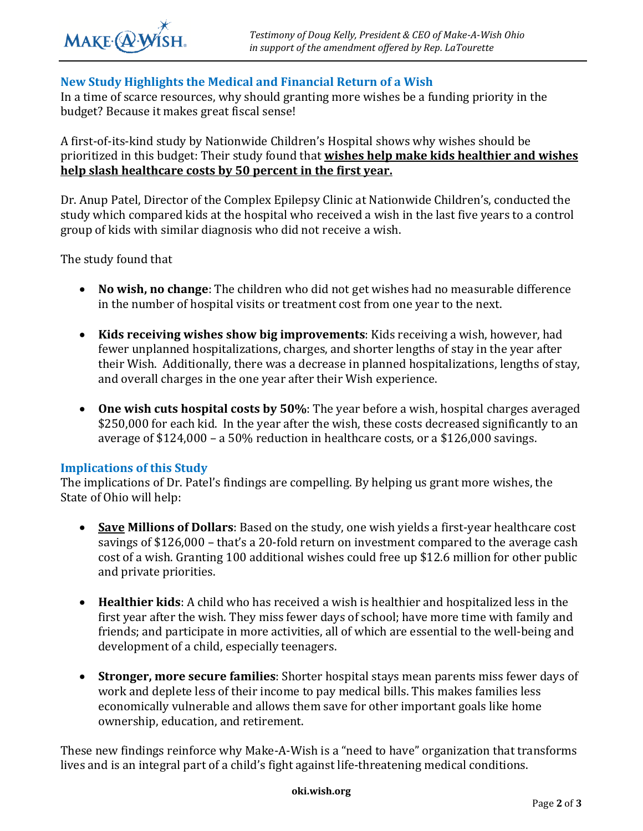### **New Study Highlights the Medical and Financial Return of a Wish**

In a time of scarce resources, why should granting more wishes be a funding priority in the budget? Because it makes great fiscal sense!

A first-of-its-kind study by Nationwide Children's Hospital shows why wishes should be prioritized in this budget: Their study found that **wishes help make kids healthier and wishes help slash healthcare costs by 50 percent in the first year.** 

Dr. Anup Patel, Director of the Complex Epilepsy Clinic at Nationwide Children's, conducted the study which compared kids at the hospital who received a wish in the last five years to a control group of kids with similar diagnosis who did not receive a wish.

The study found that

- **No wish, no change**: The children who did not get wishes had no measurable difference in the number of hospital visits or treatment cost from one year to the next.
- **Kids receiving wishes show big improvements**: Kids receiving a wish, however, had fewer unplanned hospitalizations, charges, and shorter lengths of stay in the year after their Wish. Additionally, there was a decrease in planned hospitalizations, lengths of stay, and overall charges in the one year after their Wish experience.
- **One wish cuts hospital costs by 50%**: The year before a wish, hospital charges averaged \$250,000 for each kid. In the year after the wish, these costs decreased significantly to an average of \$124,000 – a 50% reduction in healthcare costs, or a \$126,000 savings.

#### **Implications of this Study**

The implications of Dr. Patel's findings are compelling. By helping us grant more wishes, the State of Ohio will help:

- **Save Millions of Dollars**: Based on the study, one wish yields a first-year healthcare cost savings of \$126,000 – that's a 20-fold return on investment compared to the average cash cost of a wish. Granting 100 additional wishes could free up \$12.6 million for other public and private priorities.
- **Healthier kids**: A child who has received a wish is healthier and hospitalized less in the first year after the wish. They miss fewer days of school; have more time with family and friends; and participate in more activities, all of which are essential to the well-being and development of a child, especially teenagers.
- **Stronger, more secure families**: Shorter hospital stays mean parents miss fewer days of work and deplete less of their income to pay medical bills. This makes families less economically vulnerable and allows them save for other important goals like home ownership, education, and retirement.

These new findings reinforce why Make-A-Wish is a "need to have" organization that transforms lives and is an integral part of a child's fight against life-threatening medical conditions.